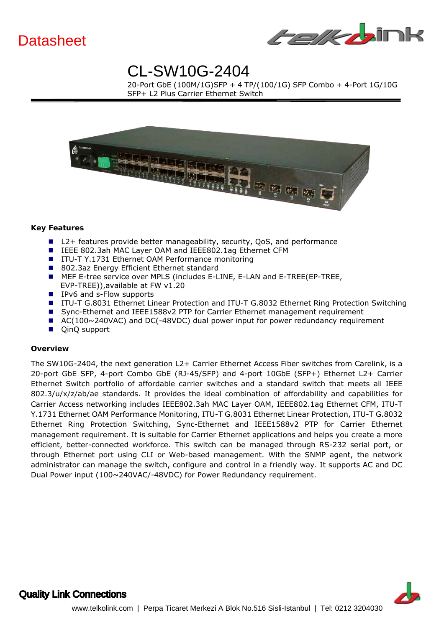



 $\frac{1}{2}$  *is the called Ether* 20-Port GbE (100M/1G)SFP + 4 TP/(100/1G) SFP Combo + 4-Port 1G/10G SFP+ L2 Plus Carrier Ethernet Switch



#### **Key Features**

- L2+ features provide better manageability, security, QoS, and performance
- IEEE 802.3ah MAC Laver OAM and IEEE802.1ag Ethernet CFM
- ITU-T Y.1731 Ethernet OAM Performance monitoring
- 802.3az Energy Efficient Ethernet standard
- **MEF E-tree service over MPLS (includes E-LINE, E-LAN and E-TREE(EP-TREE,** EVP-TREE)),available at FW v1.20
- IPv6 and s-Flow supports
- ITU-T G.8031 Ethernet Linear Protection and ITU-T G.8032 Ethernet Ring Protection Switching
- Sync-Ethernet and IEEE1588v2 PTP for Carrier Ethernet management requirement
- AC(100~240VAC) and DC(-48VDC) dual power input for power redundancy requirement
- QinQ support

#### **Overview**

The SW10G-2404, the next generation L2+ Carrier Ethernet Access Fiber switches from Carelink, is a 20-port GbE SFP, 4-port Combo GbE (RJ-45/SFP) and 4-port 10GbE (SFP+) Ethernet L2+ Carrier Ethernet Switch portfolio of affordable carrier switches and a standard switch that meets all IEEE 802.3/u/x/z/ab/ae standards. It provides the ideal combination of affordability and capabilities for Carrier Access networking includes IEEE802.3ah MAC Layer OAM, IEEE802.1ag Ethernet CFM, ITU-T Y.1731 Ethernet OAM Performance Monitoring, ITU-T G.8031 Ethernet Linear Protection, ITU-T G.8032 Ethernet Ring Protection Switching, Sync-Ethernet and IEEE1588v2 PTP for Carrier Ethernet management requirement. It is suitable for Carrier Ethernet applications and helps you create a more efficient, better-connected workforce. This switch can be managed through RS-232 serial port, or through Ethernet port using CLI or Web-based management. With the SNMP agent, the network administrator can manage the switch, configure and control in a friendly way. It supports AC and DC Dual Power input (100~240VAC/-48VDC) for Power Redundancy requirement.

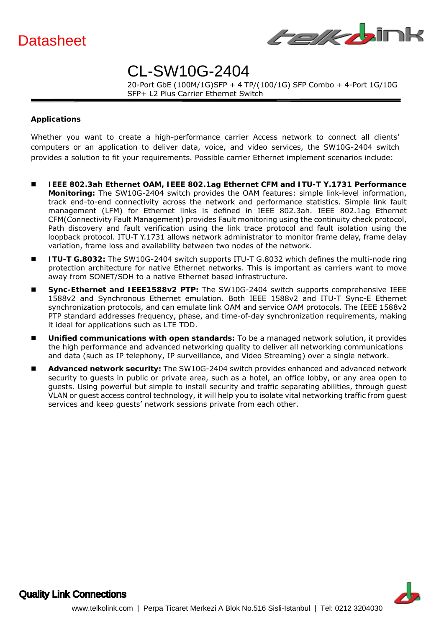



 $\frac{1}{2}$  *is the called Ether* 20-Port GbE (100M/1G)SFP + 4 TP/(100/1G) SFP Combo + 4-Port 1G/10G SFP+ L2 Plus Carrier Ethernet Switch

#### **Applications**

Whether you want to create a high-performance carrier Access network to connect all clients' computers or an application to deliver data, voice, and video services, the SW10G-2404 switch provides a solution to fit your requirements. Possible carrier Ethernet implement scenarios include:

- **IEEE 802.3ah Ethernet OAM, IEEE 802.1ag Ethernet CFM and ITU-T Y.1731 Performance Monitoring:** The SW10G-2404 switch provides the OAM features: simple link-level information, track end-to-end connectivity across the network and performance statistics. Simple link fault management (LFM) for Ethernet links is defined in IEEE 802.3ah. IEEE 802.1ag Ethernet CFM(Connectivity Fault Management) provides Fault monitoring using the continuity check protocol, Path discovery and fault verification using the link trace protocol and fault isolation using the loopback protocol. ITU-T Y.1731 allows network administrator to monitor frame delay, frame delay variation, frame loss and availability between two nodes of the network.
- **ITU-T G.8032:** The SW10G-2404 switch supports ITU-T G.8032 which defines the multi-node ring protection architecture for native Ethernet networks. This is important as carriers want to move away from SONET/SDH to a native Ethernet based infrastructure.
- **Sync-Ethernet and IEEE1588v2 PTP:** The SW10G-2404 switch supports comprehensive IEEE 1588v2 and Synchronous Ethernet emulation. Both IEEE 1588v2 and ITU-T Sync-E Ethernet synchronization protocols, and can emulate link OAM and service OAM protocols. The IEEE 1588v2 PTP standard addresses frequency, phase, and time-of-day synchronization requirements, making it ideal for applications such as LTE TDD.
- Unified communications with open standards: To be a managed network solution, it provides the high performance and advanced networking quality to deliver all networking communications and data (such as IP telephony, IP surveillance, and Video Streaming) over a single network.
- Advanced network security: The SW10G-2404 switch provides enhanced and advanced network security to guests in public or private area, such as a hotel, an office lobby, or any area open to guests. Using powerful but simple to install security and traffic separating abilities, through guest VLAN or guest access control technology, it will help you to isolate vital networking traffic from guest services and keep guests' network sessions private from each other.

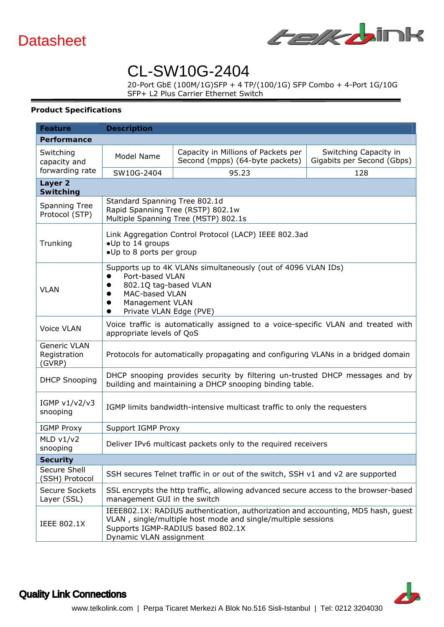



 $\frac{1}{2}$  *is the called Ether* 20-Port GbE (100M/1G)SFP + 4 TP/(100/1G) SFP Combo + 4-Port 1G/10G SFP+ L2 Plus Carrier Ethernet Switch

#### **Product Specifications**

| <b>Feature</b>                                | <b>Description</b>                                                                                                                                                                                               |                                                                        |                                                     |  |  |  |  |
|-----------------------------------------------|------------------------------------------------------------------------------------------------------------------------------------------------------------------------------------------------------------------|------------------------------------------------------------------------|-----------------------------------------------------|--|--|--|--|
| Performance                                   |                                                                                                                                                                                                                  |                                                                        |                                                     |  |  |  |  |
| Switching<br>capacity and                     | Model Name                                                                                                                                                                                                       | Capacity in Millions of Packets per<br>Second (mpps) (64-byte packets) | Switching Capacity in<br>Gigabits per Second (Gbps) |  |  |  |  |
| forwarding rate                               | SW10G-2404                                                                                                                                                                                                       | 95.23                                                                  | 128                                                 |  |  |  |  |
| Layer <sub>2</sub><br>Switching               |                                                                                                                                                                                                                  |                                                                        |                                                     |  |  |  |  |
|                                               | Standard Spanning Tree 802.1d                                                                                                                                                                                    |                                                                        |                                                     |  |  |  |  |
| <b>Spanning Tree</b><br>Protocol (STP)        | Rapid Spanning Tree (RSTP) 802.1w<br>Multiple Spanning Tree (MSTP) 802.1s                                                                                                                                        |                                                                        |                                                     |  |  |  |  |
| Trunking                                      | Link Aggregation Control Protocol (LACP) IEEE 802.3ad<br>•Up to 14 groups<br>•Up to 8 ports per group                                                                                                            |                                                                        |                                                     |  |  |  |  |
| <b>VLAN</b>                                   | Supports up to 4K VLANs simultaneously (out of 4096 VLAN IDs)<br>Port-based VLAN<br>802.1Q tag-based VLAN<br>MAC-based VLAN<br>$\bullet$<br>Management VLAN<br>$\bullet$<br>Private VLAN Edge (PVE)<br>$\bullet$ |                                                                        |                                                     |  |  |  |  |
| <b>Voice VLAN</b>                             | Voice traffic is automatically assigned to a voice-specific VLAN and treated with<br>appropriate levels of QoS                                                                                                   |                                                                        |                                                     |  |  |  |  |
| <b>Generic VLAN</b><br>Registration<br>(GVRP) | Protocols for automatically propagating and configuring VLANs in a bridged domain                                                                                                                                |                                                                        |                                                     |  |  |  |  |
| <b>DHCP Snooping</b>                          | DHCP snooping provides security by filtering un-trusted DHCP messages and by<br>building and maintaining a DHCP snooping binding table.                                                                          |                                                                        |                                                     |  |  |  |  |
| IGMP v1/v2/v3<br>snooping                     | IGMP limits bandwidth-intensive multicast traffic to only the requesters                                                                                                                                         |                                                                        |                                                     |  |  |  |  |
| <b>IGMP Proxy</b>                             | Support IGMP Proxy                                                                                                                                                                                               |                                                                        |                                                     |  |  |  |  |
| MLD $v1/v2$<br>snooping                       | Deliver IPv6 multicast packets only to the required receivers                                                                                                                                                    |                                                                        |                                                     |  |  |  |  |
| <b>Security</b>                               |                                                                                                                                                                                                                  |                                                                        |                                                     |  |  |  |  |
| Secure Shell<br>(SSH) Protocol                | SSH secures Telnet traffic in or out of the switch, SSH v1 and v2 are supported                                                                                                                                  |                                                                        |                                                     |  |  |  |  |
| <b>Secure Sockets</b><br>Layer (SSL)          | SSL encrypts the http traffic, allowing advanced secure access to the browser-based<br>management GUI in the switch                                                                                              |                                                                        |                                                     |  |  |  |  |
| <b>IEEE 802.1X</b>                            | IEEE802.1X: RADIUS authentication, authorization and accounting, MD5 hash, guest<br>VLAN, single/multiple host mode and single/multiple sessions<br>Supports IGMP-RADIUS based 802.1X<br>Dynamic VLAN assignment |                                                                        |                                                     |  |  |  |  |

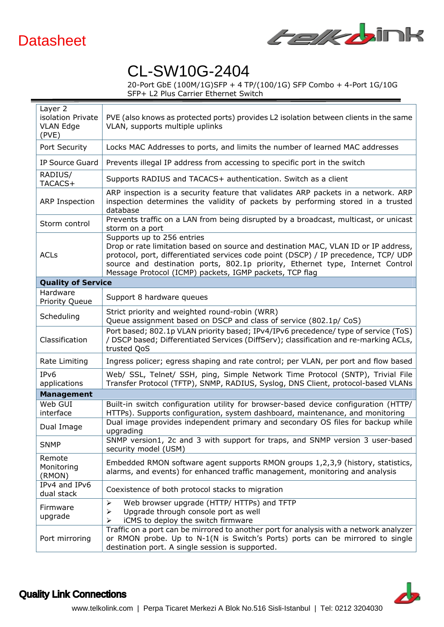



20-Port GbE (100M/1G)SFP + 4 TP/(100/1G) SFP Combo + 4-Port 1G/10G SFP+ L2 Plus Carrier Ethernet Switch

| Layer 2<br>isolation Private<br><b>VLAN Edge</b><br>(PVE) | PVE (also knows as protected ports) provides L2 isolation between clients in the same<br>VLAN, supports multiple uplinks                                                                                                                                                                                                                              |  |  |  |
|-----------------------------------------------------------|-------------------------------------------------------------------------------------------------------------------------------------------------------------------------------------------------------------------------------------------------------------------------------------------------------------------------------------------------------|--|--|--|
| Port Security                                             | Locks MAC Addresses to ports, and limits the number of learned MAC addresses                                                                                                                                                                                                                                                                          |  |  |  |
| <b>IP Source Guard</b>                                    | Prevents illegal IP address from accessing to specific port in the switch                                                                                                                                                                                                                                                                             |  |  |  |
| RADIUS/<br>TACACS+                                        | Supports RADIUS and TACACS+ authentication. Switch as a client                                                                                                                                                                                                                                                                                        |  |  |  |
| ARP Inspection                                            | ARP inspection is a security feature that validates ARP packets in a network. ARP<br>inspection determines the validity of packets by performing stored in a trusted<br>database                                                                                                                                                                      |  |  |  |
| Storm control                                             | Prevents traffic on a LAN from being disrupted by a broadcast, multicast, or unicast<br>storm on a port                                                                                                                                                                                                                                               |  |  |  |
| <b>ACLs</b>                                               | Supports up to 256 entries<br>Drop or rate limitation based on source and destination MAC, VLAN ID or IP address,<br>protocol, port, differentiated services code point (DSCP) / IP precedence, TCP/ UDP<br>source and destination ports, 802.1p priority, Ethernet type, Internet Control<br>Message Protocol (ICMP) packets, IGMP packets, TCP flag |  |  |  |
| <b>Quality of Service</b>                                 |                                                                                                                                                                                                                                                                                                                                                       |  |  |  |
| Hardware<br>Priority Queue                                | Support 8 hardware queues                                                                                                                                                                                                                                                                                                                             |  |  |  |
| Scheduling                                                | Strict priority and weighted round-robin (WRR)<br>Queue assignment based on DSCP and class of service (802.1p/ CoS)                                                                                                                                                                                                                                   |  |  |  |
| Classification                                            | Port based; 802.1p VLAN priority based; IPv4/IPv6 precedence/ type of service (ToS)<br>/ DSCP based; Differentiated Services (DiffServ); classification and re-marking ACLs,<br>trusted QoS                                                                                                                                                           |  |  |  |
| Rate Limiting                                             | Ingress policer; egress shaping and rate control; per VLAN, per port and flow based                                                                                                                                                                                                                                                                   |  |  |  |
| IP <sub>v</sub> 6<br>applications                         | Web/ SSL, Telnet/ SSH, ping, Simple Network Time Protocol (SNTP), Trivial File<br>Transfer Protocol (TFTP), SNMP, RADIUS, Syslog, DNS Client, protocol-based VLANs                                                                                                                                                                                    |  |  |  |
| Management                                                |                                                                                                                                                                                                                                                                                                                                                       |  |  |  |
| Web GUI<br>interface                                      | Built-in switch configuration utility for browser-based device configuration (HTTP/<br>HTTPs). Supports configuration, system dashboard, maintenance, and monitoring                                                                                                                                                                                  |  |  |  |
| Dual Image                                                | Dual image provides independent primary and secondary OS files for backup while<br>upgrading                                                                                                                                                                                                                                                          |  |  |  |
| <b>SNMP</b>                                               | SNMP version1, 2c and 3 with support for traps, and SNMP version 3 user-based<br>security model (USM)                                                                                                                                                                                                                                                 |  |  |  |
| Remote<br>Monitoring<br>(RMON)                            | Embedded RMON software agent supports RMON groups 1,2,3,9 (history, statistics,<br>alarms, and events) for enhanced traffic management, monitoring and analysis                                                                                                                                                                                       |  |  |  |
| IPv4 and IPv6<br>dual stack                               | Coexistence of both protocol stacks to migration                                                                                                                                                                                                                                                                                                      |  |  |  |
| Firmware<br>upgrade                                       | Web browser upgrade (HTTP/ HTTPs) and TFTP<br>➤<br>Upgrade through console port as well<br>➤<br>iCMS to deploy the switch firmware                                                                                                                                                                                                                    |  |  |  |
| Port mirroring                                            | Traffic on a port can be mirrored to another port for analysis with a network analyzer<br>or RMON probe. Up to N-1(N is Switch's Ports) ports can be mirrored to single<br>destination port. A single session is supported.                                                                                                                           |  |  |  |

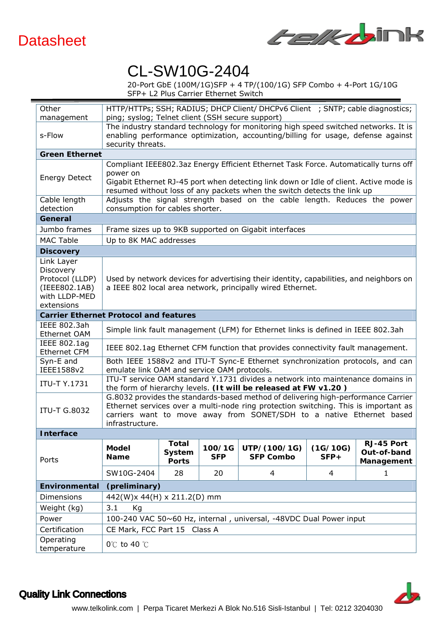



 20-Port GbE (100M/1G)SFP + 4 TP/(100/1G) SFP Combo + 4-Port 1G/10G SFP+ L2 Plus Carrier Ethernet Switch

| Other                                         | HTTP/HTTPs; SSH; RADIUS; DHCP Client/ DHCPv6 Client ; SNTP; cable diagnostics;                                                                                          |                                                                                  |            |                  |          |                           |  |  |
|-----------------------------------------------|-------------------------------------------------------------------------------------------------------------------------------------------------------------------------|----------------------------------------------------------------------------------|------------|------------------|----------|---------------------------|--|--|
| management                                    | ping; syslog; Telnet client (SSH secure support)                                                                                                                        |                                                                                  |            |                  |          |                           |  |  |
|                                               | The industry standard technology for monitoring high speed switched networks. It is<br>enabling performance optimization, accounting/billing for usage, defense against |                                                                                  |            |                  |          |                           |  |  |
| s-Flow                                        |                                                                                                                                                                         |                                                                                  |            |                  |          |                           |  |  |
| <b>Green Ethernet</b>                         | security threats.                                                                                                                                                       |                                                                                  |            |                  |          |                           |  |  |
|                                               | Compliant IEEE802.3az Energy Efficient Ethernet Task Force. Automatically turns off                                                                                     |                                                                                  |            |                  |          |                           |  |  |
| <b>Energy Detect</b>                          | power on                                                                                                                                                                |                                                                                  |            |                  |          |                           |  |  |
|                                               | Gigabit Ethernet RJ-45 port when detecting link down or Idle of client. Active mode is                                                                                  |                                                                                  |            |                  |          |                           |  |  |
|                                               | resumed without loss of any packets when the switch detects the link up                                                                                                 |                                                                                  |            |                  |          |                           |  |  |
| Cable length                                  | Adjusts the signal strength based on the cable length. Reduces the power                                                                                                |                                                                                  |            |                  |          |                           |  |  |
| detection                                     | consumption for cables shorter.                                                                                                                                         |                                                                                  |            |                  |          |                           |  |  |
| General                                       |                                                                                                                                                                         |                                                                                  |            |                  |          |                           |  |  |
| Jumbo frames                                  | Frame sizes up to 9KB supported on Gigabit interfaces                                                                                                                   |                                                                                  |            |                  |          |                           |  |  |
| <b>MAC Table</b>                              | Up to 8K MAC addresses                                                                                                                                                  |                                                                                  |            |                  |          |                           |  |  |
| <b>Discovery</b>                              |                                                                                                                                                                         |                                                                                  |            |                  |          |                           |  |  |
| Link Layer                                    |                                                                                                                                                                         |                                                                                  |            |                  |          |                           |  |  |
| Discovery                                     | Used by network devices for advertising their identity, capabilities, and neighbors on<br>a IEEE 802 local area network, principally wired Ethernet.                    |                                                                                  |            |                  |          |                           |  |  |
| Protocol (LLDP)<br>(IEEE802.1AB)              |                                                                                                                                                                         |                                                                                  |            |                  |          |                           |  |  |
| with LLDP-MED                                 |                                                                                                                                                                         |                                                                                  |            |                  |          |                           |  |  |
| extensions                                    |                                                                                                                                                                         |                                                                                  |            |                  |          |                           |  |  |
| <b>Carrier Ethernet Protocol and features</b> |                                                                                                                                                                         |                                                                                  |            |                  |          |                           |  |  |
| IEEE 802.3ah                                  |                                                                                                                                                                         |                                                                                  |            |                  |          |                           |  |  |
| Ethernet OAM                                  |                                                                                                                                                                         | Simple link fault management (LFM) for Ethernet links is defined in IEEE 802.3ah |            |                  |          |                           |  |  |
| IEEE 802.1ag                                  | IEEE 802.1ag Ethernet CFM function that provides connectivity fault management.                                                                                         |                                                                                  |            |                  |          |                           |  |  |
| <b>Ethernet CFM</b>                           |                                                                                                                                                                         |                                                                                  |            |                  |          |                           |  |  |
| Syn-E and<br>IEEE1588v2                       | Both IEEE 1588v2 and ITU-T Sync-E Ethernet synchronization protocols, and can<br>emulate link OAM and service OAM protocols.                                            |                                                                                  |            |                  |          |                           |  |  |
|                                               | ITU-T service OAM standard Y.1731 divides a network into maintenance domains in                                                                                         |                                                                                  |            |                  |          |                           |  |  |
| <b>ITU-T Y.1731</b>                           | the form of hierarchy levels. (It will be released at FW v1.20)                                                                                                         |                                                                                  |            |                  |          |                           |  |  |
|                                               | G.8032 provides the standards-based method of delivering high-performance Carrier                                                                                       |                                                                                  |            |                  |          |                           |  |  |
| <b>ITU-T G.8032</b>                           | Ethernet services over a multi-node ring protection switching. This is important as                                                                                     |                                                                                  |            |                  |          |                           |  |  |
|                                               | carriers want to move away from SONET/SDH to a native Ethernet based                                                                                                    |                                                                                  |            |                  |          |                           |  |  |
|                                               | infrastructure.                                                                                                                                                         |                                                                                  |            |                  |          |                           |  |  |
| <b>Interface</b>                              |                                                                                                                                                                         |                                                                                  |            |                  |          |                           |  |  |
|                                               | <b>Model</b>                                                                                                                                                            | <b>Total</b><br>System                                                           | 100/1G     | UTP/(100/1G)     | (1G/10G) | RJ-45 Port<br>Out-of-band |  |  |
| Ports                                         | <b>Name</b>                                                                                                                                                             | <b>Ports</b>                                                                     | <b>SFP</b> | <b>SFP Combo</b> | $SFP+$   | Management                |  |  |
|                                               | SW10G-2404                                                                                                                                                              | 28                                                                               | 20         | 4                | 4        | $\mathbf{1}$              |  |  |
| <b>Environmental</b>                          | (preliminary)                                                                                                                                                           |                                                                                  |            |                  |          |                           |  |  |
| Dimensions                                    |                                                                                                                                                                         | 442(W)x 44(H) x 211.2(D) mm                                                      |            |                  |          |                           |  |  |
| Weight (kg)                                   | 3.1<br>Kg                                                                                                                                                               |                                                                                  |            |                  |          |                           |  |  |
| Power                                         |                                                                                                                                                                         | 100-240 VAC 50~60 Hz, internal, universal, -48VDC Dual Power input               |            |                  |          |                           |  |  |
| Certification                                 |                                                                                                                                                                         | CE Mark, FCC Part 15 Class A                                                     |            |                  |          |                           |  |  |
| Operating                                     |                                                                                                                                                                         |                                                                                  |            |                  |          |                           |  |  |
| temperature                                   | $0^{\circ}$ C to 40 $^{\circ}$ C                                                                                                                                        |                                                                                  |            |                  |          |                           |  |  |